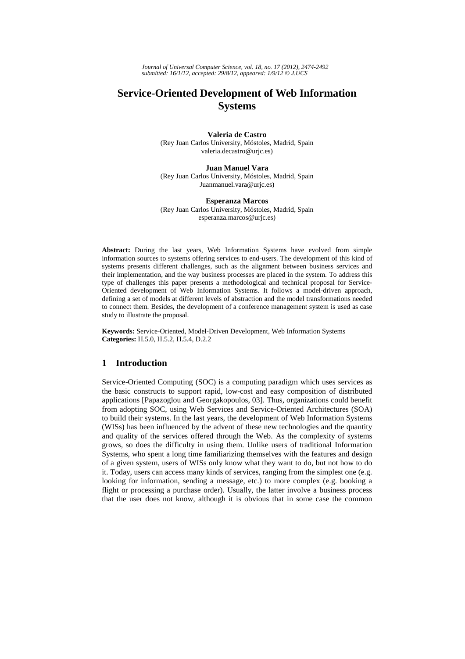*Journal of Universal Computer Science, vol. 18, no. 17 (2012), 2474-2492 submitted: 16/1/12, accepted: 29/8/12, appeared: 1/9/12* © *J.UCS*

# **Service-Oriented Development of Web Information Systems**

**Valeria de Castro**  (Rey Juan Carlos University, Móstoles, Madrid, Spain valeria.decastro@urjc.es)

#### **Juan Manuel Vara**

(Rey Juan Carlos University, Móstoles, Madrid, Spain Juanmanuel.vara@urjc.es)

#### **Esperanza Marcos**

(Rey Juan Carlos University, Móstoles, Madrid, Spain esperanza.marcos@urjc.es)

**Abstract:** During the last years, Web Information Systems have evolved from simple information sources to systems offering services to end-users. The development of this kind of systems presents different challenges, such as the alignment between business services and their implementation, and the way business processes are placed in the system. To address this type of challenges this paper presents a methodological and technical proposal for Service-Oriented development of Web Information Systems. It follows a model-driven approach, defining a set of models at different levels of abstraction and the model transformations needed to connect them. Besides, the development of a conference management system is used as case study to illustrate the proposal.

**Keywords:** Service-Oriented, Model-Driven Development, Web Information Systems **Categories:** H.5.0, H.5.2, H.5.4, D.2.2

# **1 Introduction**

Service-Oriented Computing (SOC) is a computing paradigm which uses services as the basic constructs to support rapid, low-cost and easy composition of distributed applications [Papazoglou and Georgakopoulos, 03]. Thus, organizations could benefit from adopting SOC, using Web Services and Service-Oriented Architectures (SOA) to build their systems. In the last years, the development of Web Information Systems (WISs) has been influenced by the advent of these new technologies and the quantity and quality of the services offered through the Web. As the complexity of systems grows, so does the difficulty in using them. Unlike users of traditional Information Systems, who spent a long time familiarizing themselves with the features and design of a given system, users of WISs only know what they want to do, but not how to do it. Today, users can access many kinds of services, ranging from the simplest one (e.g. looking for information, sending a message, etc.) to more complex (e.g. booking a flight or processing a purchase order). Usually, the latter involve a business process that the user does not know, although it is obvious that in some case the common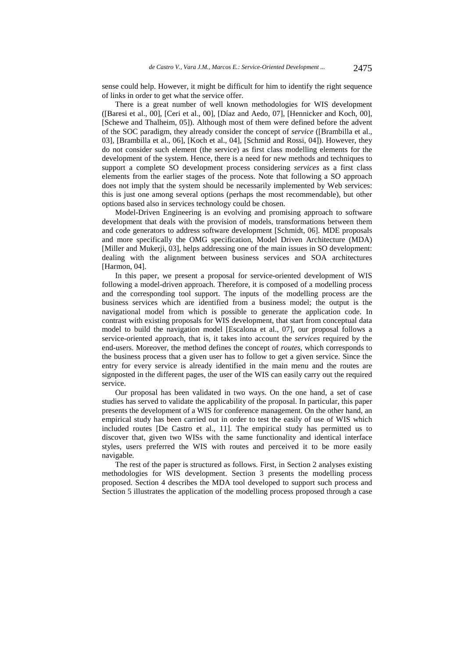sense could help. However, it might be difficult for him to identify the right sequence of links in order to get what the service offer.

There is a great number of well known methodologies for WIS development ([Baresi et al., 00], [Ceri et al., 00], [Díaz and Aedo, 07], [Hennicker and Koch, 00], [Schewe and Thalheim, 05]). Although most of them were defined before the advent of the SOC paradigm, they already consider the concept of *service* ([Brambilla et al., 03], [Brambilla et al., 06], [Koch et al., 04], [Schmid and Rossi, 04]). However, they do not consider such element (the service) as first class modelling elements for the development of the system. Hence, there is a need for new methods and techniques to support a complete SO development process considering *services* as a first class elements from the earlier stages of the process. Note that following a SO approach does not imply that the system should be necessarily implemented by Web services: this is just one among several options (perhaps the most recommendable), but other options based also in services technology could be chosen.

Model-Driven Engineering is an evolving and promising approach to software development that deals with the provision of models, transformations between them and code generators to address software development [Schmidt, 06]. MDE proposals and more specifically the OMG specification, Model Driven Architecture (MDA) [Miller and Mukerji, 03], helps addressing one of the main issues in SO development: dealing with the alignment between business services and SOA architectures [Harmon, 04].

In this paper, we present a proposal for service-oriented development of WIS following a model-driven approach. Therefore, it is composed of a modelling process and the corresponding tool support. The inputs of the modelling process are the business services which are identified from a business model; the output is the navigational model from which is possible to generate the application code. In contrast with existing proposals for WIS development, that start from conceptual data model to build the navigation model [Escalona et al., 07], our proposal follows a service-oriented approach, that is, it takes into account the *services* required by the end-users. Moreover, the method defines the concept of *routes*, which corresponds to the business process that a given user has to follow to get a given service. Since the entry for every service is already identified in the main menu and the routes are signposted in the different pages, the user of the WIS can easily carry out the required service.

Our proposal has been validated in two ways. On the one hand, a set of case studies has served to validate the applicability of the proposal. In particular, this paper presents the development of a WIS for conference management. On the other hand, an empirical study has been carried out in order to test the easily of use of WIS which included routes [De Castro et al., 11]. The empirical study has permitted us to discover that, given two WISs with the same functionality and identical interface styles, users preferred the WIS with routes and perceived it to be more easily navigable.

The rest of the paper is structured as follows. First, in Section 2 analyses existing methodologies for WIS development. Section 3 presents the modelling process proposed. Section 4 describes the MDA tool developed to support such process and Section 5 illustrates the application of the modelling process proposed through a case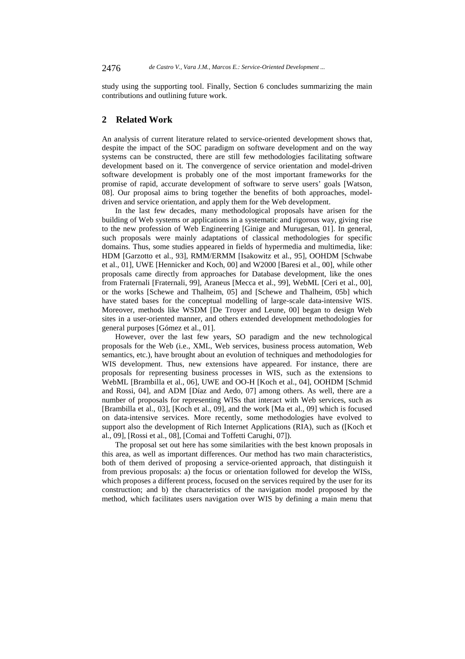study using the supporting tool. Finally, Section 6 concludes summarizing the main contributions and outlining future work.

# **2 Related Work**

An analysis of current literature related to service-oriented development shows that, despite the impact of the SOC paradigm on software development and on the way systems can be constructed, there are still few methodologies facilitating software development based on it. The convergence of service orientation and model-driven software development is probably one of the most important frameworks for the promise of rapid, accurate development of software to serve users' goals [Watson, 08]. Our proposal aims to bring together the benefits of both approaches, modeldriven and service orientation, and apply them for the Web development.

In the last few decades, many methodological proposals have arisen for the building of Web systems or applications in a systematic and rigorous way, giving rise to the new profession of Web Engineering [Ginige and Murugesan, 01]. In general, such proposals were mainly adaptations of classical methodologies for specific domains. Thus, some studies appeared in fields of hypermedia and multimedia, like: HDM [Garzotto et al., 93], RMM/ERMM [Isakowitz et al., 95], OOHDM [Schwabe et al., 01], UWE [Hennicker and Koch, 00] and W2000 [Baresi et al., 00], while other proposals came directly from approaches for Database development, like the ones from Fraternali [Fraternali, 99], Araneus [Mecca et al., 99], WebML [Ceri et al., 00], or the works [Schewe and Thalheim, 05] and [Schewe and Thalheim, 05b] which have stated bases for the conceptual modelling of large-scale data-intensive WIS. Moreover, methods like WSDM [De Troyer and Leune, 00] began to design Web sites in a user-oriented manner, and others extended development methodologies for general purposes [Gómez et al., 01].

However, over the last few years, SO paradigm and the new technological proposals for the Web (i.e., XML, Web services, business process automation, Web semantics, etc.), have brought about an evolution of techniques and methodologies for WIS development. Thus, new extensions have appeared. For instance, there are proposals for representing business processes in WIS, such as the extensions to WebML [Brambilla et al., 06], UWE and OO-H [Koch et al., 04], OOHDM [Schmid and Rossi, 04], and ADM [Díaz and Aedo, 07] among others. As well, there are a number of proposals for representing WISs that interact with Web services, such as [Brambilla et al., 03], [Koch et al., 09], and the work [Ma et al., 09] which is focused on data-intensive services. More recently, some methodologies have evolved to support also the development of Rich Internet Applications (RIA), such as ([Koch et al., 09], [Rossi et al., 08], [Comai and Toffetti Carughi, 07]).

The proposal set out here has some similarities with the best known proposals in this area, as well as important differences. Our method has two main characteristics, both of them derived of proposing a service-oriented approach, that distinguish it from previous proposals: a) the focus or orientation followed for develop the WISs, which proposes a different process, focused on the services required by the user for its construction; and b) the characteristics of the navigation model proposed by the method, which facilitates users navigation over WIS by defining a main menu that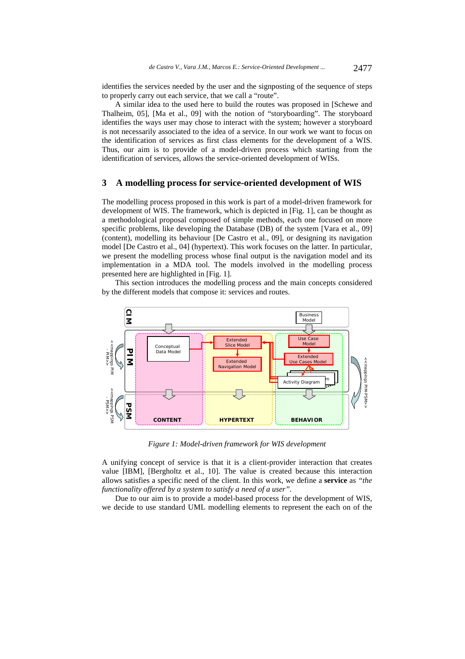identifies the services needed by the user and the signposting of the sequence of steps to properly carry out each service, that we call a "route".

A similar idea to the used here to build the routes was proposed in [Schewe and Thalheim, 05], [Ma et al., 09] with the notion of "storyboarding". The storyboard identifies the ways user may chose to interact with the system; however a storyboard is not necessarily associated to the idea of a service. In our work we want to focus on the identification of services as first class elements for the development of a WIS. Thus, our aim is to provide of a model-driven process which starting from the identification of services, allows the service-oriented development of WISs.

### **3 A modelling process for service-oriented development of WIS**

The modelling process proposed in this work is part of a model-driven framework for development of WIS. The framework, which is depicted in [Fig. 1], can be thought as a methodological proposal composed of simple methods, each one focused on more specific problems, like developing the Database (DB) of the system [Vara et al., 09] (content), modelling its behaviour [De Castro et al., 09], or designing its navigation model [De Castro et al., 04] (hypertext). This work focuses on the latter. In particular, we present the modelling process whose final output is the navigation model and its implementation in a MDA tool. The models involved in the modelling process presented here are highlighted in [Fig. 1].

This section introduces the modelling process and the main concepts considered by the different models that compose it: services and routes.



*Figure 1: Model-driven framework for WIS development* 

A unifying concept of service is that it is a client-provider interaction that creates value [IBM], [Bergholtz et al., 10]. The value is created because this interaction allows satisfies a specific need of the client. In this work, we define a **service** as *"the functionality offered by a system to satisfy a need of a user"*.

Due to our aim is to provide a model-based process for the development of WIS, we decide to use standard UML modelling elements to represent the each on of the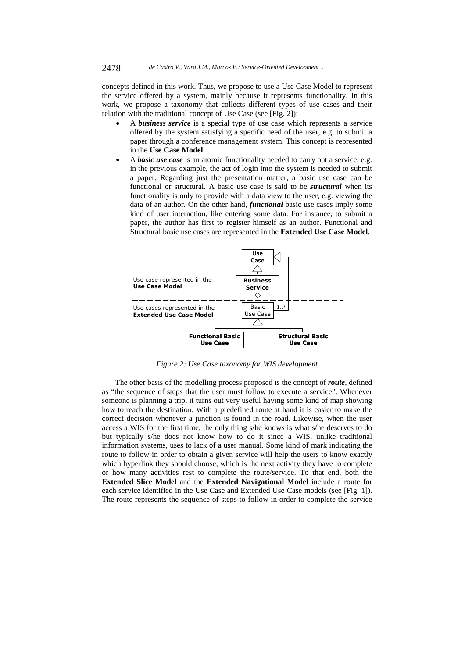concepts defined in this work. Thus, we propose to use a Use Case Model to represent the service offered by a system, mainly because it represents functionality. In this work, we propose a taxonomy that collects different types of use cases and their relation with the traditional concept of Use Case (see [Fig. 2]):

- A *business service* is a special type of use case which represents a service offered by the system satisfying a specific need of the user, e.g. to submit a paper through a conference management system. This concept is represented in the **Use Case Model**.
- A *basic use case* is an atomic functionality needed to carry out a service, e.g. in the previous example, the act of login into the system is needed to submit a paper. Regarding just the presentation matter, a basic use case can be functional or structural. A basic use case is said to be *structural* when its functionality is only to provide with a data view to the user, e.g. viewing the data of an author. On the other hand, *functional* basic use cases imply some kind of user interaction, like entering some data. For instance, to submit a paper, the author has first to register himself as an author. Functional and Structural basic use cases are represented in the **Extended Use Case Model**.



*Figure 2: Use Case taxonomy for WIS development* 

The other basis of the modelling process proposed is the concept of *route*, defined as "the sequence of steps that the user must follow to execute a service". Whenever someone is planning a trip, it turns out very useful having some kind of map showing how to reach the destination. With a predefined route at hand it is easier to make the correct decision whenever a junction is found in the road. Likewise, when the user access a WIS for the first time, the only thing s/he knows is what s/he deserves to do but typically s/he does not know how to do it since a WIS, unlike traditional information systems, uses to lack of a user manual. Some kind of mark indicating the route to follow in order to obtain a given service will help the users to know exactly which hyperlink they should choose, which is the next activity they have to complete or how many activities rest to complete the route/service. To that end, both the **Extended Slice Model** and the **Extended Navigational Model** include a route for each service identified in the Use Case and Extended Use Case models (see [Fig. 1]). The route represents the sequence of steps to follow in order to complete the service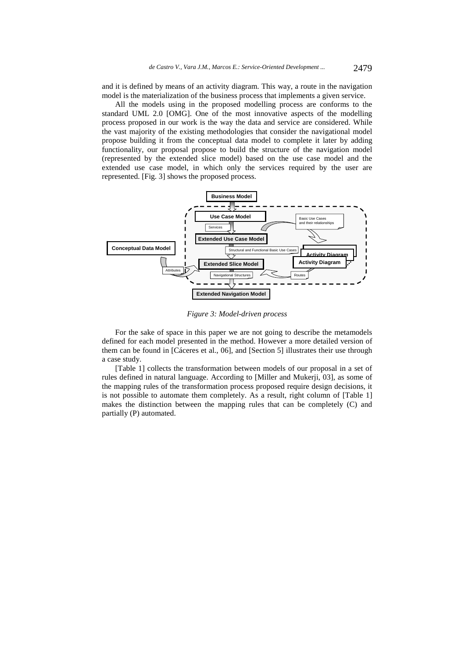and it is defined by means of an activity diagram. This way, a route in the navigation model is the materialization of the business process that implements a given service.

All the models using in the proposed modelling process are conforms to the standard UML 2.0 [OMG]. One of the most innovative aspects of the modelling process proposed in our work is the way the data and service are considered. While the vast majority of the existing methodologies that consider the navigational model propose building it from the conceptual data model to complete it later by adding functionality, our proposal propose to build the structure of the navigation model (represented by the extended slice model) based on the use case model and the extended use case model, in which only the services required by the user are represented. [Fig. 3] shows the proposed process.



*Figure 3: Model-driven process* 

For the sake of space in this paper we are not going to describe the metamodels defined for each model presented in the method. However a more detailed version of them can be found in [Cáceres et al., 06], and [Section 5] illustrates their use through a case study.

[Table 1] collects the transformation between models of our proposal in a set of rules defined in natural language. According to [Miller and Mukerji, 03], as some of the mapping rules of the transformation process proposed require design decisions, it is not possible to automate them completely. As a result, right column of [Table 1] makes the distinction between the mapping rules that can be completely (C) and partially (P) automated.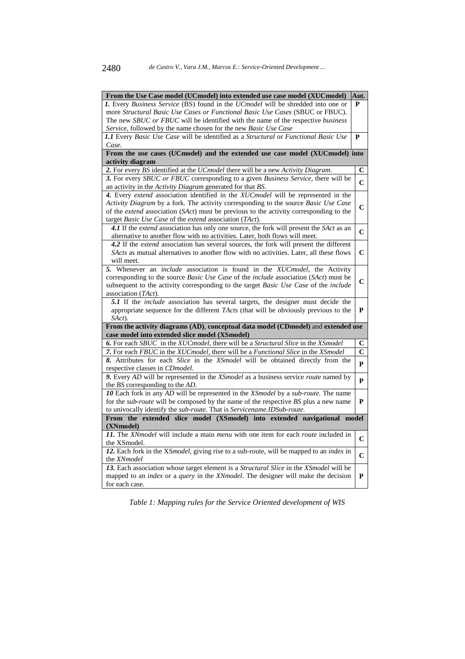| <b>1.</b> Every <i>Business Service</i> (BS) found in the <i>UCmodel</i> will be shredded into one or<br>P<br>more Structural Basic Use Cases or Functional Basic Use Cases (SBUC or FBUC).<br>The new <i>SBUC</i> or <i>FBUC</i> will be identified with the name of the respective <i>business</i><br>Service, followed by the name chosen for the new Basic Use Case<br>1.1 Every Basic Use Case will be identified as a Structural or Functional Basic Use<br>$\mathbf{P}$<br>Case.<br>From the use cases (UCmodel) and the extended use case model (XUCmodel) into<br>activity diagram<br>2. For every BS identified at the UCmodel there will be a new Activity Diagram.<br>C<br>3. For every SBUC or FBUC corresponding to a given Business Service, there will be<br>$\overline{C}$<br>an activity in the Activity Diagram generated for that BS.<br>4. Every extend association identified in the XUC model will be represented in the<br>Activity Diagram by a fork. The activity corresponding to the source Basic Use Case<br>$\mathbf C$<br>of the extend association (SAct) must be previous to the activity corresponding to the<br>target <i>Basic Use Case</i> of the <i>extend</i> association ( <i>TAct</i> ).<br>4.1 If the extend association has only one source, the fork will present the SAct as an<br>$\mathbf C$<br>alternative to another flow with no activities. Later, both flows will meet.<br>4.2 If the <i>extend</i> association has several sources, the fork will present the different<br>$\mathbf C$<br><i>SActs</i> as mutual alternatives to another flow with no activities. Later, all these flows<br>will meet.<br>5. Whenever an <i>include</i> association is found in the XUCmodel, the Activity<br>corresponding to the source Basic Use Case of the include association (SAct) must be<br>$\mathbf C$<br>subsequent to the activity corresponding to the target Basic Use Case of the include<br>association (TAct).<br>5.1 If the <i>include</i> association has several targets, the designer must decide the<br>appropriate sequence for the different TActs (that will be obviously previous to the<br>P<br>SAct).<br>From the activity diagrams (AD), conceptual data model (CDmodel) and extended use<br>case model into extended slice model (XSmodel)<br>6. For each SBUC in the XUC model, there will be a Structural Slice in the XS model<br>С<br>7. For each FBUC in the XUCmodel, there will be a Functional Slice in the XSmodel<br>$\mathbf C$<br>8. Attributes for each Slice in the XSmodel will be obtained directly from the<br>P<br>respective classes in CDmodel.<br>9. Every AD will be represented in the XSmodel as a business service route named by<br>P<br>the <i>BS</i> corresponding to the <i>AD</i> .<br>10 Each fork in any AD will be represented in the XSmodel by a sub-route. The name<br>for the <i>sub-route</i> will be composed by the name of the respective <i>BS</i> plus a new name<br>P<br>to univocally identify the sub-route. That is Servicename.IDSub-route.<br>From the extended slice model (XSmodel) into extended navigational model<br>(XNmodel)<br>11. The XNmodel will include a main menu with one item for each route included in | From the Use Case model (UCmodel) into extended use case model (XUCmodel) | Aut. |  |
|-----------------------------------------------------------------------------------------------------------------------------------------------------------------------------------------------------------------------------------------------------------------------------------------------------------------------------------------------------------------------------------------------------------------------------------------------------------------------------------------------------------------------------------------------------------------------------------------------------------------------------------------------------------------------------------------------------------------------------------------------------------------------------------------------------------------------------------------------------------------------------------------------------------------------------------------------------------------------------------------------------------------------------------------------------------------------------------------------------------------------------------------------------------------------------------------------------------------------------------------------------------------------------------------------------------------------------------------------------------------------------------------------------------------------------------------------------------------------------------------------------------------------------------------------------------------------------------------------------------------------------------------------------------------------------------------------------------------------------------------------------------------------------------------------------------------------------------------------------------------------------------------------------------------------------------------------------------------------------------------------------------------------------------------------------------------------------------------------------------------------------------------------------------------------------------------------------------------------------------------------------------------------------------------------------------------------------------------------------------------------------------------------------------------------------------------------------------------------------------------------------------------------------------------------------------------------------------------------------------------------------------------------------------------------------------------------------------------------------------------------------------------------------------------------------------------------------------------------------------------------------------------------------------------------------------------------------------------------------------------------------------------------------------------------------------------------------------------------------------------------------------------------------------------------------------------------------------------------------------------------|---------------------------------------------------------------------------|------|--|
|                                                                                                                                                                                                                                                                                                                                                                                                                                                                                                                                                                                                                                                                                                                                                                                                                                                                                                                                                                                                                                                                                                                                                                                                                                                                                                                                                                                                                                                                                                                                                                                                                                                                                                                                                                                                                                                                                                                                                                                                                                                                                                                                                                                                                                                                                                                                                                                                                                                                                                                                                                                                                                                                                                                                                                                                                                                                                                                                                                                                                                                                                                                                                                                                                                               |                                                                           |      |  |
|                                                                                                                                                                                                                                                                                                                                                                                                                                                                                                                                                                                                                                                                                                                                                                                                                                                                                                                                                                                                                                                                                                                                                                                                                                                                                                                                                                                                                                                                                                                                                                                                                                                                                                                                                                                                                                                                                                                                                                                                                                                                                                                                                                                                                                                                                                                                                                                                                                                                                                                                                                                                                                                                                                                                                                                                                                                                                                                                                                                                                                                                                                                                                                                                                                               |                                                                           |      |  |
|                                                                                                                                                                                                                                                                                                                                                                                                                                                                                                                                                                                                                                                                                                                                                                                                                                                                                                                                                                                                                                                                                                                                                                                                                                                                                                                                                                                                                                                                                                                                                                                                                                                                                                                                                                                                                                                                                                                                                                                                                                                                                                                                                                                                                                                                                                                                                                                                                                                                                                                                                                                                                                                                                                                                                                                                                                                                                                                                                                                                                                                                                                                                                                                                                                               |                                                                           |      |  |
|                                                                                                                                                                                                                                                                                                                                                                                                                                                                                                                                                                                                                                                                                                                                                                                                                                                                                                                                                                                                                                                                                                                                                                                                                                                                                                                                                                                                                                                                                                                                                                                                                                                                                                                                                                                                                                                                                                                                                                                                                                                                                                                                                                                                                                                                                                                                                                                                                                                                                                                                                                                                                                                                                                                                                                                                                                                                                                                                                                                                                                                                                                                                                                                                                                               |                                                                           |      |  |
|                                                                                                                                                                                                                                                                                                                                                                                                                                                                                                                                                                                                                                                                                                                                                                                                                                                                                                                                                                                                                                                                                                                                                                                                                                                                                                                                                                                                                                                                                                                                                                                                                                                                                                                                                                                                                                                                                                                                                                                                                                                                                                                                                                                                                                                                                                                                                                                                                                                                                                                                                                                                                                                                                                                                                                                                                                                                                                                                                                                                                                                                                                                                                                                                                                               |                                                                           |      |  |
|                                                                                                                                                                                                                                                                                                                                                                                                                                                                                                                                                                                                                                                                                                                                                                                                                                                                                                                                                                                                                                                                                                                                                                                                                                                                                                                                                                                                                                                                                                                                                                                                                                                                                                                                                                                                                                                                                                                                                                                                                                                                                                                                                                                                                                                                                                                                                                                                                                                                                                                                                                                                                                                                                                                                                                                                                                                                                                                                                                                                                                                                                                                                                                                                                                               |                                                                           |      |  |
|                                                                                                                                                                                                                                                                                                                                                                                                                                                                                                                                                                                                                                                                                                                                                                                                                                                                                                                                                                                                                                                                                                                                                                                                                                                                                                                                                                                                                                                                                                                                                                                                                                                                                                                                                                                                                                                                                                                                                                                                                                                                                                                                                                                                                                                                                                                                                                                                                                                                                                                                                                                                                                                                                                                                                                                                                                                                                                                                                                                                                                                                                                                                                                                                                                               |                                                                           |      |  |
|                                                                                                                                                                                                                                                                                                                                                                                                                                                                                                                                                                                                                                                                                                                                                                                                                                                                                                                                                                                                                                                                                                                                                                                                                                                                                                                                                                                                                                                                                                                                                                                                                                                                                                                                                                                                                                                                                                                                                                                                                                                                                                                                                                                                                                                                                                                                                                                                                                                                                                                                                                                                                                                                                                                                                                                                                                                                                                                                                                                                                                                                                                                                                                                                                                               |                                                                           |      |  |
|                                                                                                                                                                                                                                                                                                                                                                                                                                                                                                                                                                                                                                                                                                                                                                                                                                                                                                                                                                                                                                                                                                                                                                                                                                                                                                                                                                                                                                                                                                                                                                                                                                                                                                                                                                                                                                                                                                                                                                                                                                                                                                                                                                                                                                                                                                                                                                                                                                                                                                                                                                                                                                                                                                                                                                                                                                                                                                                                                                                                                                                                                                                                                                                                                                               |                                                                           |      |  |
|                                                                                                                                                                                                                                                                                                                                                                                                                                                                                                                                                                                                                                                                                                                                                                                                                                                                                                                                                                                                                                                                                                                                                                                                                                                                                                                                                                                                                                                                                                                                                                                                                                                                                                                                                                                                                                                                                                                                                                                                                                                                                                                                                                                                                                                                                                                                                                                                                                                                                                                                                                                                                                                                                                                                                                                                                                                                                                                                                                                                                                                                                                                                                                                                                                               |                                                                           |      |  |
|                                                                                                                                                                                                                                                                                                                                                                                                                                                                                                                                                                                                                                                                                                                                                                                                                                                                                                                                                                                                                                                                                                                                                                                                                                                                                                                                                                                                                                                                                                                                                                                                                                                                                                                                                                                                                                                                                                                                                                                                                                                                                                                                                                                                                                                                                                                                                                                                                                                                                                                                                                                                                                                                                                                                                                                                                                                                                                                                                                                                                                                                                                                                                                                                                                               |                                                                           |      |  |
|                                                                                                                                                                                                                                                                                                                                                                                                                                                                                                                                                                                                                                                                                                                                                                                                                                                                                                                                                                                                                                                                                                                                                                                                                                                                                                                                                                                                                                                                                                                                                                                                                                                                                                                                                                                                                                                                                                                                                                                                                                                                                                                                                                                                                                                                                                                                                                                                                                                                                                                                                                                                                                                                                                                                                                                                                                                                                                                                                                                                                                                                                                                                                                                                                                               |                                                                           |      |  |
|                                                                                                                                                                                                                                                                                                                                                                                                                                                                                                                                                                                                                                                                                                                                                                                                                                                                                                                                                                                                                                                                                                                                                                                                                                                                                                                                                                                                                                                                                                                                                                                                                                                                                                                                                                                                                                                                                                                                                                                                                                                                                                                                                                                                                                                                                                                                                                                                                                                                                                                                                                                                                                                                                                                                                                                                                                                                                                                                                                                                                                                                                                                                                                                                                                               |                                                                           |      |  |
|                                                                                                                                                                                                                                                                                                                                                                                                                                                                                                                                                                                                                                                                                                                                                                                                                                                                                                                                                                                                                                                                                                                                                                                                                                                                                                                                                                                                                                                                                                                                                                                                                                                                                                                                                                                                                                                                                                                                                                                                                                                                                                                                                                                                                                                                                                                                                                                                                                                                                                                                                                                                                                                                                                                                                                                                                                                                                                                                                                                                                                                                                                                                                                                                                                               |                                                                           |      |  |
|                                                                                                                                                                                                                                                                                                                                                                                                                                                                                                                                                                                                                                                                                                                                                                                                                                                                                                                                                                                                                                                                                                                                                                                                                                                                                                                                                                                                                                                                                                                                                                                                                                                                                                                                                                                                                                                                                                                                                                                                                                                                                                                                                                                                                                                                                                                                                                                                                                                                                                                                                                                                                                                                                                                                                                                                                                                                                                                                                                                                                                                                                                                                                                                                                                               |                                                                           |      |  |
|                                                                                                                                                                                                                                                                                                                                                                                                                                                                                                                                                                                                                                                                                                                                                                                                                                                                                                                                                                                                                                                                                                                                                                                                                                                                                                                                                                                                                                                                                                                                                                                                                                                                                                                                                                                                                                                                                                                                                                                                                                                                                                                                                                                                                                                                                                                                                                                                                                                                                                                                                                                                                                                                                                                                                                                                                                                                                                                                                                                                                                                                                                                                                                                                                                               |                                                                           |      |  |
|                                                                                                                                                                                                                                                                                                                                                                                                                                                                                                                                                                                                                                                                                                                                                                                                                                                                                                                                                                                                                                                                                                                                                                                                                                                                                                                                                                                                                                                                                                                                                                                                                                                                                                                                                                                                                                                                                                                                                                                                                                                                                                                                                                                                                                                                                                                                                                                                                                                                                                                                                                                                                                                                                                                                                                                                                                                                                                                                                                                                                                                                                                                                                                                                                                               |                                                                           |      |  |
|                                                                                                                                                                                                                                                                                                                                                                                                                                                                                                                                                                                                                                                                                                                                                                                                                                                                                                                                                                                                                                                                                                                                                                                                                                                                                                                                                                                                                                                                                                                                                                                                                                                                                                                                                                                                                                                                                                                                                                                                                                                                                                                                                                                                                                                                                                                                                                                                                                                                                                                                                                                                                                                                                                                                                                                                                                                                                                                                                                                                                                                                                                                                                                                                                                               |                                                                           |      |  |
|                                                                                                                                                                                                                                                                                                                                                                                                                                                                                                                                                                                                                                                                                                                                                                                                                                                                                                                                                                                                                                                                                                                                                                                                                                                                                                                                                                                                                                                                                                                                                                                                                                                                                                                                                                                                                                                                                                                                                                                                                                                                                                                                                                                                                                                                                                                                                                                                                                                                                                                                                                                                                                                                                                                                                                                                                                                                                                                                                                                                                                                                                                                                                                                                                                               |                                                                           |      |  |
|                                                                                                                                                                                                                                                                                                                                                                                                                                                                                                                                                                                                                                                                                                                                                                                                                                                                                                                                                                                                                                                                                                                                                                                                                                                                                                                                                                                                                                                                                                                                                                                                                                                                                                                                                                                                                                                                                                                                                                                                                                                                                                                                                                                                                                                                                                                                                                                                                                                                                                                                                                                                                                                                                                                                                                                                                                                                                                                                                                                                                                                                                                                                                                                                                                               |                                                                           |      |  |
|                                                                                                                                                                                                                                                                                                                                                                                                                                                                                                                                                                                                                                                                                                                                                                                                                                                                                                                                                                                                                                                                                                                                                                                                                                                                                                                                                                                                                                                                                                                                                                                                                                                                                                                                                                                                                                                                                                                                                                                                                                                                                                                                                                                                                                                                                                                                                                                                                                                                                                                                                                                                                                                                                                                                                                                                                                                                                                                                                                                                                                                                                                                                                                                                                                               |                                                                           |      |  |
|                                                                                                                                                                                                                                                                                                                                                                                                                                                                                                                                                                                                                                                                                                                                                                                                                                                                                                                                                                                                                                                                                                                                                                                                                                                                                                                                                                                                                                                                                                                                                                                                                                                                                                                                                                                                                                                                                                                                                                                                                                                                                                                                                                                                                                                                                                                                                                                                                                                                                                                                                                                                                                                                                                                                                                                                                                                                                                                                                                                                                                                                                                                                                                                                                                               |                                                                           |      |  |
|                                                                                                                                                                                                                                                                                                                                                                                                                                                                                                                                                                                                                                                                                                                                                                                                                                                                                                                                                                                                                                                                                                                                                                                                                                                                                                                                                                                                                                                                                                                                                                                                                                                                                                                                                                                                                                                                                                                                                                                                                                                                                                                                                                                                                                                                                                                                                                                                                                                                                                                                                                                                                                                                                                                                                                                                                                                                                                                                                                                                                                                                                                                                                                                                                                               |                                                                           |      |  |
|                                                                                                                                                                                                                                                                                                                                                                                                                                                                                                                                                                                                                                                                                                                                                                                                                                                                                                                                                                                                                                                                                                                                                                                                                                                                                                                                                                                                                                                                                                                                                                                                                                                                                                                                                                                                                                                                                                                                                                                                                                                                                                                                                                                                                                                                                                                                                                                                                                                                                                                                                                                                                                                                                                                                                                                                                                                                                                                                                                                                                                                                                                                                                                                                                                               |                                                                           |      |  |
|                                                                                                                                                                                                                                                                                                                                                                                                                                                                                                                                                                                                                                                                                                                                                                                                                                                                                                                                                                                                                                                                                                                                                                                                                                                                                                                                                                                                                                                                                                                                                                                                                                                                                                                                                                                                                                                                                                                                                                                                                                                                                                                                                                                                                                                                                                                                                                                                                                                                                                                                                                                                                                                                                                                                                                                                                                                                                                                                                                                                                                                                                                                                                                                                                                               |                                                                           |      |  |
|                                                                                                                                                                                                                                                                                                                                                                                                                                                                                                                                                                                                                                                                                                                                                                                                                                                                                                                                                                                                                                                                                                                                                                                                                                                                                                                                                                                                                                                                                                                                                                                                                                                                                                                                                                                                                                                                                                                                                                                                                                                                                                                                                                                                                                                                                                                                                                                                                                                                                                                                                                                                                                                                                                                                                                                                                                                                                                                                                                                                                                                                                                                                                                                                                                               |                                                                           |      |  |
|                                                                                                                                                                                                                                                                                                                                                                                                                                                                                                                                                                                                                                                                                                                                                                                                                                                                                                                                                                                                                                                                                                                                                                                                                                                                                                                                                                                                                                                                                                                                                                                                                                                                                                                                                                                                                                                                                                                                                                                                                                                                                                                                                                                                                                                                                                                                                                                                                                                                                                                                                                                                                                                                                                                                                                                                                                                                                                                                                                                                                                                                                                                                                                                                                                               |                                                                           |      |  |
|                                                                                                                                                                                                                                                                                                                                                                                                                                                                                                                                                                                                                                                                                                                                                                                                                                                                                                                                                                                                                                                                                                                                                                                                                                                                                                                                                                                                                                                                                                                                                                                                                                                                                                                                                                                                                                                                                                                                                                                                                                                                                                                                                                                                                                                                                                                                                                                                                                                                                                                                                                                                                                                                                                                                                                                                                                                                                                                                                                                                                                                                                                                                                                                                                                               |                                                                           |      |  |
|                                                                                                                                                                                                                                                                                                                                                                                                                                                                                                                                                                                                                                                                                                                                                                                                                                                                                                                                                                                                                                                                                                                                                                                                                                                                                                                                                                                                                                                                                                                                                                                                                                                                                                                                                                                                                                                                                                                                                                                                                                                                                                                                                                                                                                                                                                                                                                                                                                                                                                                                                                                                                                                                                                                                                                                                                                                                                                                                                                                                                                                                                                                                                                                                                                               |                                                                           |      |  |
|                                                                                                                                                                                                                                                                                                                                                                                                                                                                                                                                                                                                                                                                                                                                                                                                                                                                                                                                                                                                                                                                                                                                                                                                                                                                                                                                                                                                                                                                                                                                                                                                                                                                                                                                                                                                                                                                                                                                                                                                                                                                                                                                                                                                                                                                                                                                                                                                                                                                                                                                                                                                                                                                                                                                                                                                                                                                                                                                                                                                                                                                                                                                                                                                                                               |                                                                           |      |  |
|                                                                                                                                                                                                                                                                                                                                                                                                                                                                                                                                                                                                                                                                                                                                                                                                                                                                                                                                                                                                                                                                                                                                                                                                                                                                                                                                                                                                                                                                                                                                                                                                                                                                                                                                                                                                                                                                                                                                                                                                                                                                                                                                                                                                                                                                                                                                                                                                                                                                                                                                                                                                                                                                                                                                                                                                                                                                                                                                                                                                                                                                                                                                                                                                                                               |                                                                           |      |  |
|                                                                                                                                                                                                                                                                                                                                                                                                                                                                                                                                                                                                                                                                                                                                                                                                                                                                                                                                                                                                                                                                                                                                                                                                                                                                                                                                                                                                                                                                                                                                                                                                                                                                                                                                                                                                                                                                                                                                                                                                                                                                                                                                                                                                                                                                                                                                                                                                                                                                                                                                                                                                                                                                                                                                                                                                                                                                                                                                                                                                                                                                                                                                                                                                                                               |                                                                           |      |  |
|                                                                                                                                                                                                                                                                                                                                                                                                                                                                                                                                                                                                                                                                                                                                                                                                                                                                                                                                                                                                                                                                                                                                                                                                                                                                                                                                                                                                                                                                                                                                                                                                                                                                                                                                                                                                                                                                                                                                                                                                                                                                                                                                                                                                                                                                                                                                                                                                                                                                                                                                                                                                                                                                                                                                                                                                                                                                                                                                                                                                                                                                                                                                                                                                                                               |                                                                           |      |  |
|                                                                                                                                                                                                                                                                                                                                                                                                                                                                                                                                                                                                                                                                                                                                                                                                                                                                                                                                                                                                                                                                                                                                                                                                                                                                                                                                                                                                                                                                                                                                                                                                                                                                                                                                                                                                                                                                                                                                                                                                                                                                                                                                                                                                                                                                                                                                                                                                                                                                                                                                                                                                                                                                                                                                                                                                                                                                                                                                                                                                                                                                                                                                                                                                                                               |                                                                           |      |  |
|                                                                                                                                                                                                                                                                                                                                                                                                                                                                                                                                                                                                                                                                                                                                                                                                                                                                                                                                                                                                                                                                                                                                                                                                                                                                                                                                                                                                                                                                                                                                                                                                                                                                                                                                                                                                                                                                                                                                                                                                                                                                                                                                                                                                                                                                                                                                                                                                                                                                                                                                                                                                                                                                                                                                                                                                                                                                                                                                                                                                                                                                                                                                                                                                                                               |                                                                           |      |  |
|                                                                                                                                                                                                                                                                                                                                                                                                                                                                                                                                                                                                                                                                                                                                                                                                                                                                                                                                                                                                                                                                                                                                                                                                                                                                                                                                                                                                                                                                                                                                                                                                                                                                                                                                                                                                                                                                                                                                                                                                                                                                                                                                                                                                                                                                                                                                                                                                                                                                                                                                                                                                                                                                                                                                                                                                                                                                                                                                                                                                                                                                                                                                                                                                                                               |                                                                           |      |  |
|                                                                                                                                                                                                                                                                                                                                                                                                                                                                                                                                                                                                                                                                                                                                                                                                                                                                                                                                                                                                                                                                                                                                                                                                                                                                                                                                                                                                                                                                                                                                                                                                                                                                                                                                                                                                                                                                                                                                                                                                                                                                                                                                                                                                                                                                                                                                                                                                                                                                                                                                                                                                                                                                                                                                                                                                                                                                                                                                                                                                                                                                                                                                                                                                                                               |                                                                           |      |  |
|                                                                                                                                                                                                                                                                                                                                                                                                                                                                                                                                                                                                                                                                                                                                                                                                                                                                                                                                                                                                                                                                                                                                                                                                                                                                                                                                                                                                                                                                                                                                                                                                                                                                                                                                                                                                                                                                                                                                                                                                                                                                                                                                                                                                                                                                                                                                                                                                                                                                                                                                                                                                                                                                                                                                                                                                                                                                                                                                                                                                                                                                                                                                                                                                                                               |                                                                           | C    |  |
| the XSmodel.                                                                                                                                                                                                                                                                                                                                                                                                                                                                                                                                                                                                                                                                                                                                                                                                                                                                                                                                                                                                                                                                                                                                                                                                                                                                                                                                                                                                                                                                                                                                                                                                                                                                                                                                                                                                                                                                                                                                                                                                                                                                                                                                                                                                                                                                                                                                                                                                                                                                                                                                                                                                                                                                                                                                                                                                                                                                                                                                                                                                                                                                                                                                                                                                                                  |                                                                           |      |  |
| 12. Each fork in the XSmodel, giving rise to a sub-route, will be mapped to an index in<br>$\mathbf C$<br>the XNmodel                                                                                                                                                                                                                                                                                                                                                                                                                                                                                                                                                                                                                                                                                                                                                                                                                                                                                                                                                                                                                                                                                                                                                                                                                                                                                                                                                                                                                                                                                                                                                                                                                                                                                                                                                                                                                                                                                                                                                                                                                                                                                                                                                                                                                                                                                                                                                                                                                                                                                                                                                                                                                                                                                                                                                                                                                                                                                                                                                                                                                                                                                                                         |                                                                           |      |  |
| 13. Each association whose target element is a Structural Slice in the XSmodel will be                                                                                                                                                                                                                                                                                                                                                                                                                                                                                                                                                                                                                                                                                                                                                                                                                                                                                                                                                                                                                                                                                                                                                                                                                                                                                                                                                                                                                                                                                                                                                                                                                                                                                                                                                                                                                                                                                                                                                                                                                                                                                                                                                                                                                                                                                                                                                                                                                                                                                                                                                                                                                                                                                                                                                                                                                                                                                                                                                                                                                                                                                                                                                        |                                                                           |      |  |
| mapped to an <i>index</i> or a <i>query</i> in the <i>XNmodel</i> . The designer will make the decision<br>P                                                                                                                                                                                                                                                                                                                                                                                                                                                                                                                                                                                                                                                                                                                                                                                                                                                                                                                                                                                                                                                                                                                                                                                                                                                                                                                                                                                                                                                                                                                                                                                                                                                                                                                                                                                                                                                                                                                                                                                                                                                                                                                                                                                                                                                                                                                                                                                                                                                                                                                                                                                                                                                                                                                                                                                                                                                                                                                                                                                                                                                                                                                                  |                                                                           |      |  |
| for each case.                                                                                                                                                                                                                                                                                                                                                                                                                                                                                                                                                                                                                                                                                                                                                                                                                                                                                                                                                                                                                                                                                                                                                                                                                                                                                                                                                                                                                                                                                                                                                                                                                                                                                                                                                                                                                                                                                                                                                                                                                                                                                                                                                                                                                                                                                                                                                                                                                                                                                                                                                                                                                                                                                                                                                                                                                                                                                                                                                                                                                                                                                                                                                                                                                                |                                                                           |      |  |

*Table 1: Mapping rules for the Service Oriented development of WIS*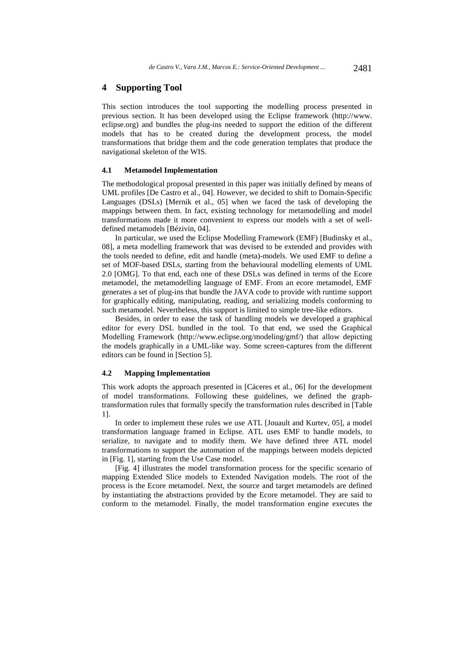# **4 Supporting Tool**

This section introduces the tool supporting the modelling process presented in previous section. It has been developed using the Eclipse framework (http://www. eclipse.org) and bundles the plug-ins needed to support the edition of the different models that has to be created during the development process, the model transformations that bridge them and the code generation templates that produce the navigational skeleton of the WIS.

#### **4.1 Metamodel Implementation**

The methodological proposal presented in this paper was initially defined by means of UML profiles [De Castro et al., 04]. However, we decided to shift to Domain-Specific Languages (DSLs) [Mernik et al., 05] when we faced the task of developing the mappings between them. In fact, existing technology for metamodelling and model transformations made it more convenient to express our models with a set of welldefined metamodels [Bézivin, 04].

In particular, we used the Eclipse Modelling Framework (EMF) [Budinsky et al., 08], a meta modelling framework that was devised to be extended and provides with the tools needed to define, edit and handle (meta)-models. We used EMF to define a set of MOF-based DSLs, starting from the behavioural modelling elements of UML 2.0 [OMG]. To that end, each one of these DSLs was defined in terms of the Ecore metamodel, the metamodelling language of EMF. From an ecore metamodel, EMF generates a set of plug-ins that bundle the JAVA code to provide with runtime support for graphically editing, manipulating, reading, and serializing models conforming to such metamodel. Nevertheless, this support is limited to simple tree-like editors.

Besides, in order to ease the task of handling models we developed a graphical editor for every DSL bundled in the tool. To that end, we used the Graphical Modelling Framework (http://www.eclipse.org/modeling/gmf/) that allow depicting the models graphically in a UML-like way. Some screen-captures from the different editors can be found in [Section 5].

### **4.2 Mapping Implementation**

This work adopts the approach presented in [Cáceres et al., 06] for the development of model transformations. Following these guidelines, we defined the graphtransformation rules that formally specify the transformation rules described in [Table 1].

In order to implement these rules we use ATL [Jouault and Kurtev, 05], a model transformation language framed in Eclipse. ATL uses EMF to handle models, to serialize, to navigate and to modify them. We have defined three ATL model transformations to support the automation of the mappings between models depicted in [Fig. 1], starting from the Use Case model.

[Fig. 4] illustrates the model transformation process for the specific scenario of mapping Extended Slice models to Extended Navigation models. The root of the process is the Ecore metamodel. Next, the source and target metamodels are defined by instantiating the abstractions provided by the Ecore metamodel. They are said to conform to the metamodel. Finally, the model transformation engine executes the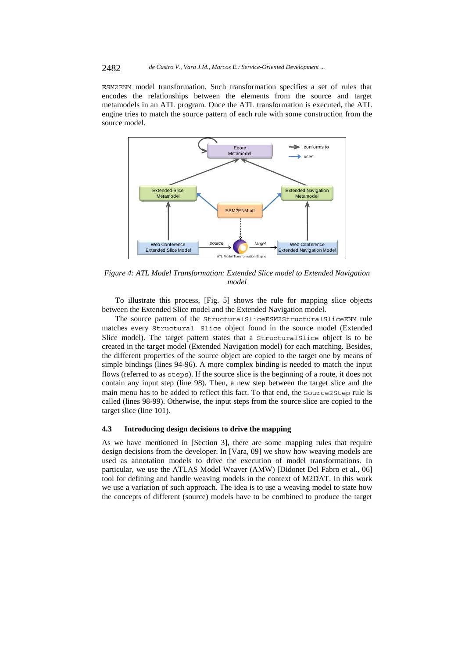#### 2482 *de Castro V., Vara J.M., Marcos E.: Service-Oriented Development ...*

ESM2ENM model transformation. Such transformation specifies a set of rules that encodes the relationships between the elements from the source and target metamodels in an ATL program. Once the ATL transformation is executed, the ATL engine tries to match the source pattern of each rule with some construction from the source model.



*Figure 4: ATL Model Transformation: Extended Slice model to Extended Navigation model* 

To illustrate this process, [Fig. 5] shows the rule for mapping slice objects between the Extended Slice model and the Extended Navigation model.

The source pattern of the StructuralSliceESM2StructuralSliceENM rule matches every Structural Slice object found in the source model (Extended Slice model). The target pattern states that a StructuralSlice object is to be created in the target model (Extended Navigation model) for each matching. Besides, the different properties of the source object are copied to the target one by means of simple bindings (lines 94-96). A more complex binding is needed to match the input flows (referred to as steps). If the source slice is the beginning of a route, it does not contain any input step (line 98). Then, a new step between the target slice and the main menu has to be added to reflect this fact. To that end, the Source2Step rule is called (lines 98-99). Otherwise, the input steps from the source slice are copied to the target slice (line 101).

### **4.3 Introducing design decisions to drive the mapping**

As we have mentioned in [Section 3], there are some mapping rules that require design decisions from the developer. In [Vara, 09] we show how weaving models are used as annotation models to drive the execution of model transformations. In particular, we use the ATLAS Model Weaver (AMW) [Didonet Del Fabro et al., 06] tool for defining and handle weaving models in the context of M2DAT. In this work we use a variation of such approach. The idea is to use a weaving model to state how the concepts of different (source) models have to be combined to produce the target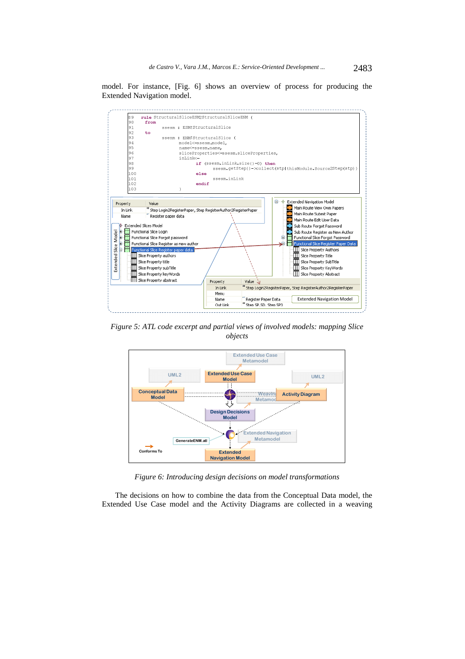model. For instance, [Fig. 6] shows an overview of process for producing the Extended Navigation model.



*Figure 5: ATL code excerpt and partial views of involved models: mapping Slice objects* 



*Figure 6: Introducing design decisions on model transformations* 

The decisions on how to combine the data from the Conceptual Data model, the Extended Use Case model and the Activity Diagrams are collected in a weaving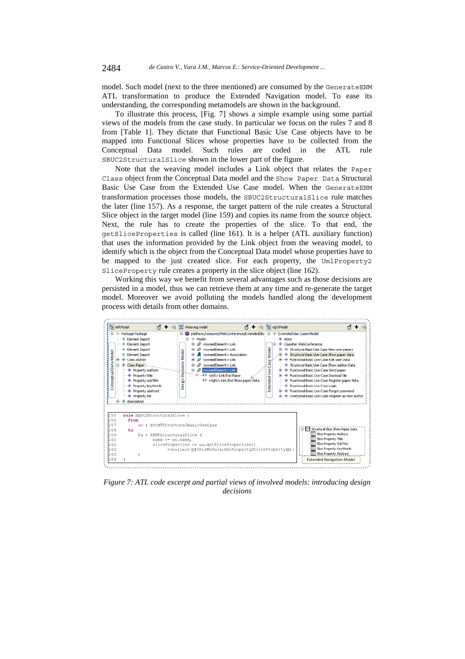model. Such model (next to the three mentioned) are consumed by the GenerateENM ATL transformation to produce the Extended Navigation model. To ease its understanding, the corresponding metamodels are shown in the background.

To illustrate this process, [Fig. 7] shows a simple example using some partial views of the models from the case study. In particular we focus on the rules 7 and 8 from [Table 1]. They dictate that Functional Basic Use Case objects have to be mapped into Functional Slices whose properties have to be collected from the Conceptual Data model. Such rules are coded in the ATL rule SBUC2StructuralSlice shown in the lower part of the figure.

Note that the weaving model includes a Link object that relates the Paper Class object from the Conceptual Data model and the Show Paper Data Structural Basic Use Case from the Extended Use Case model. When the GenerateENM transformation processes those models, the SBUC2StructuralSlice rule matches the later (line 157). As a response, the target pattern of the rule creates a Structural Slice object in the target model (line 159) and copies its name from the source object. Next, the rule has to create the properties of the slice. To that end, the getSliceProperties is called (line 161). It is a helper (ATL auxiliary function) that uses the information provided by the Link object from the weaving model, to identify which is the object from the Conceptual Data model whose properties have to be mapped to the just created slice. For each property, the UmlProperty2 SliceProperty rule creates a property in the slice object (line 162).

Working this way we benefit from several advantages such as those decisions are persisted in a model, thus we can retrieve them at any time and re-generate the target model. Moreover we avoid polluting the models handled along the development process with details from other domains.



*Figure 7: ATL code excerpt and partial views of involved models: introducing design decisions*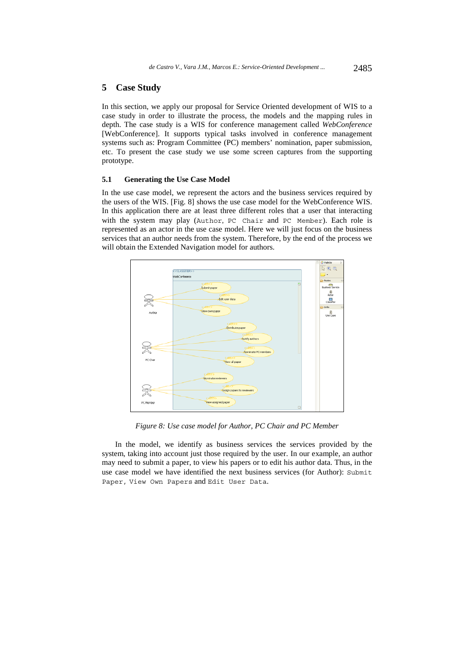### **5 Case Study**

In this section, we apply our proposal for Service Oriented development of WIS to a case study in order to illustrate the process, the models and the mapping rules in depth. The case study is a WIS for conference management called *WebConference*  [WebConference]. It supports typical tasks involved in conference management systems such as: Program Committee (PC) members' nomination, paper submission, etc. To present the case study we use some screen captures from the supporting prototype.

#### **5.1 Generating the Use Case Model**

In the use case model, we represent the actors and the business services required by the users of the WIS. [Fig. 8] shows the use case model for the WebConference WIS. In this application there are at least three different roles that a user that interacting with the system may play (Author, PC Chair and PC Member). Each role is represented as an actor in the use case model. Here we will just focus on the business services that an author needs from the system. Therefore, by the end of the process we will obtain the Extended Navigation model for authors.



*Figure 8: Use case model for Author, PC Chair and PC Member* 

In the model, we identify as business services the services provided by the system, taking into account just those required by the user. In our example, an author may need to submit a paper, to view his papers or to edit his author data. Thus, in the use case model we have identified the next business services (for Author): Submit Paper, View Own Papers and Edit User Data.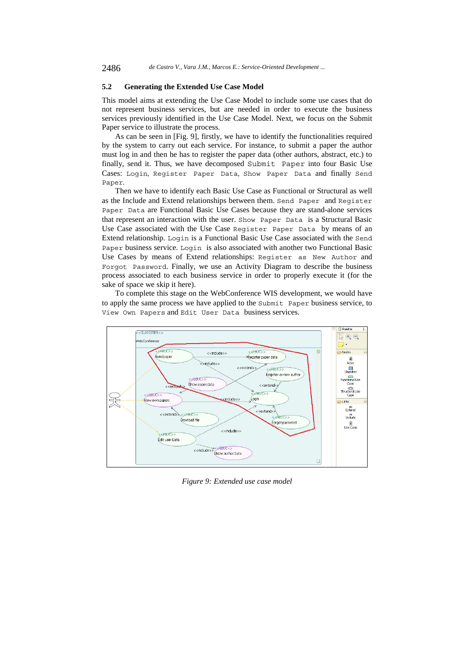## **5.2 Generating the Extended Use Case Model**

This model aims at extending the Use Case Model to include some use cases that do not represent business services, but are needed in order to execute the business services previously identified in the Use Case Model. Next, we focus on the Submit Paper service to illustrate the process.

As can be seen in [Fig. 9], firstly, we have to identify the functionalities required by the system to carry out each service. For instance, to submit a paper the author must log in and then he has to register the paper data (other authors, abstract, etc.) to finally, send it. Thus, we have decomposed Submit Paper into four Basic Use Cases: Login, Register Paper Data, Show Paper Data and finally Send Paper.

Then we have to identify each Basic Use Case as Functional or Structural as well as the Include and Extend relationships between them. Send Paper and Register Paper Data are Functional Basic Use Cases because they are stand-alone services that represent an interaction with the user. Show Paper Data is a Structural Basic Use Case associated with the Use Case Register Paper Data by means of an Extend relationship. Login is a Functional Basic Use Case associated with the Send Paper business service. Login is also associated with another two Functional Basic Use Cases by means of Extend relationships: Register as New Author and Forgot Password. Finally, we use an Activity Diagram to describe the business process associated to each business service in order to properly execute it (for the sake of space we skip it here).

To complete this stage on the WebConference WIS development, we would have to apply the same process we have applied to the Submit Paper business service, to View Own Papers and Edit User Data business services.



*Figure 9: Extended use case model*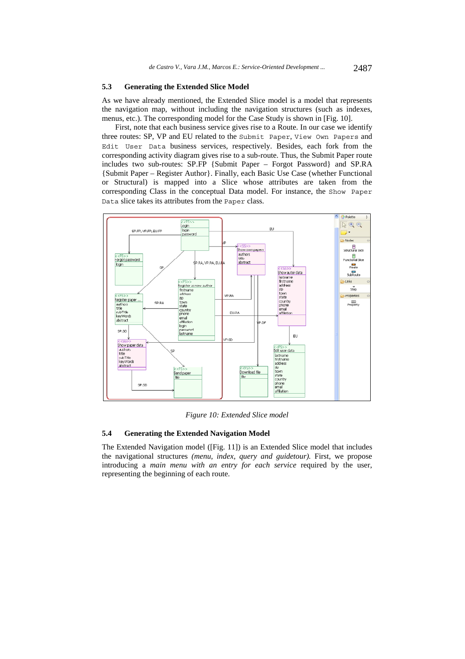#### **5.3 Generating the Extended Slice Model**

As we have already mentioned, the Extended Slice model is a model that represents the navigation map, without including the navigation structures (such as indexes, menus, etc.). The corresponding model for the Case Study is shown in [Fig. 10].

First, note that each business service gives rise to a Route. In our case we identify three routes: SP, VP and EU related to the Submit Paper, View Own Papers and Edit User Data business services, respectively. Besides, each fork from the corresponding activity diagram gives rise to a sub-route. Thus, the Submit Paper route includes two sub-routes: SP.FP {Submit Paper – Forgot Password} and SP.RA {Submit Paper – Register Author}. Finally, each Basic Use Case (whether Functional or Structural) is mapped into a Slice whose attributes are taken from the corresponding Class in the conceptual Data model. For instance, the Show Paper Data slice takes its attributes from the Paper class.



*Figure 10: Extended Slice model* 

### **5.4 Generating the Extended Navigation Model**

The Extended Navigation model ([Fig. 11]) is an Extended Slice model that includes the navigational structures *(menu, index, query and guidetour).* First, we propose introducing a *main menu with an entry for each service* required by the user, representing the beginning of each route.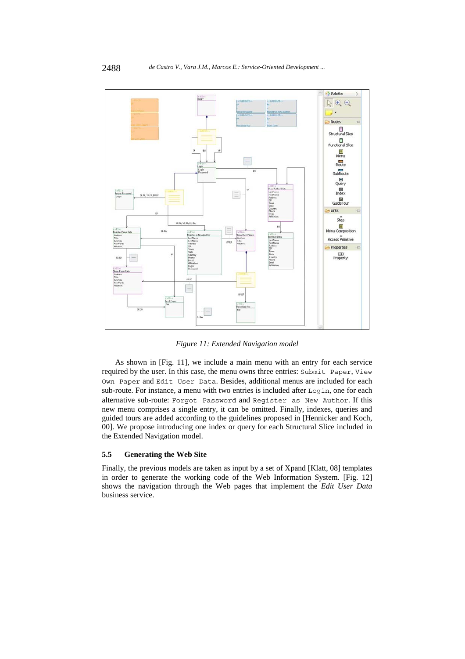

*Figure 11: Extended Navigation model* 

As shown in [Fig. 11], we include a main menu with an entry for each service required by the user. In this case, the menu owns three entries: Submit Paper, View Own Paper and Edit User Data. Besides, additional menus are included for each sub-route. For instance, a menu with two entries is included after Login, one for each alternative sub-route: Forgot Password and Register as New Author. If this new menu comprises a single entry, it can be omitted. Finally, indexes, queries and guided tours are added according to the guidelines proposed in [Hennicker and Koch, 00]. We propose introducing one index or query for each Structural Slice included in the Extended Navigation model.

#### **5.5 Generating the Web Site**

Finally, the previous models are taken as input by a set of Xpand [Klatt, 08] templates in order to generate the working code of the Web Information System. [Fig. 12] shows the navigation through the Web pages that implement the *Edit User Data*  business service.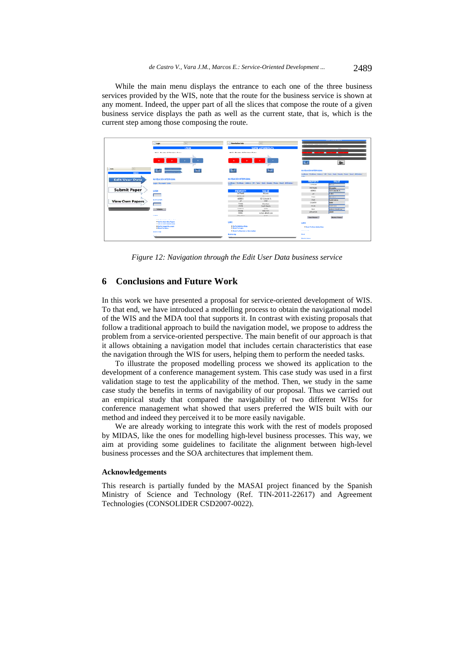While the main menu displays the entrance to each one of the three business services provided by the WIS, note that the route for the business service is shown at any moment. Indeed, the upper part of all the slices that compose the route of a given business service displays the path as well as the current state, that is, which is the current step among those composing the route.



*Figure 12: Navigation through the Edit User Data business service* 

# **6 Conclusions and Future Work**

In this work we have presented a proposal for service-oriented development of WIS. To that end, we have introduced a modelling process to obtain the navigational model of the WIS and the MDA tool that supports it. In contrast with existing proposals that follow a traditional approach to build the navigation model, we propose to address the problem from a service-oriented perspective. The main benefit of our approach is that it allows obtaining a navigation model that includes certain characteristics that ease the navigation through the WIS for users, helping them to perform the needed tasks.

To illustrate the proposed modelling process we showed its application to the development of a conference management system. This case study was used in a first validation stage to test the applicability of the method. Then, we study in the same case study the benefits in terms of navigability of our proposal. Thus we carried out an empirical study that compared the navigability of two different WISs for conference management what showed that users preferred the WIS built with our method and indeed they perceived it to be more easily navigable.

We are already working to integrate this work with the rest of models proposed by MIDAS, like the ones for modelling high-level business processes. This way, we aim at providing some guidelines to facilitate the alignment between high-level business processes and the SOA architectures that implement them.

#### **Acknowledgements**

This research is partially funded by the MASAI project financed by the Spanish Ministry of Science and Technology (Ref. TIN-2011-22617) and Agreement Technologies (CONSOLIDER CSD2007-0022).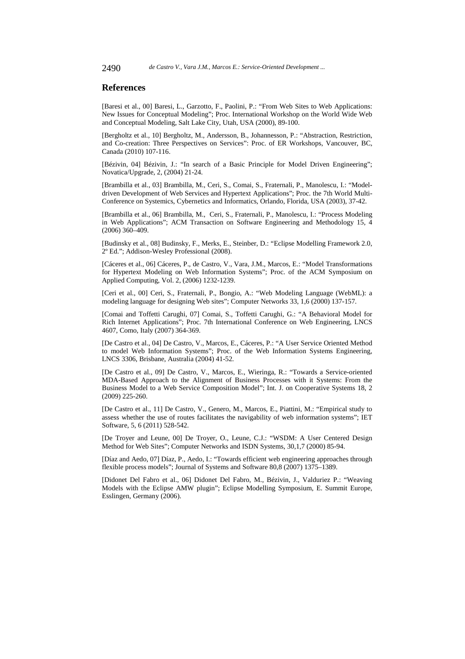## **References**

[Baresi et al., 00] Baresi, L., Garzotto, F., Paolini, P.: "From Web Sites to Web Applications: New Issues for Conceptual Modeling"; Proc. International Workshop on the World Wide Web and Conceptual Modeling, Salt Lake City, Utah, USA (2000), 89-100.

[Bergholtz et al., 10] Bergholtz, M., Andersson, B., Johannesson, P.: "Abstraction, Restriction, and Co-creation: Three Perspectives on Services": Proc. of ER Workshops, Vancouver, BC, Canada (2010) 107-116.

[Bézivin, 04] Bézivin, J.: "In search of a Basic Principle for Model Driven Engineering"; Novatica/Upgrade, 2, (2004) 21-24.

[Brambilla et al., 03] Brambilla, M., Ceri, S., Comai, S., Fraternali, P., Manolescu, I.: "Modeldriven Development of Web Services and Hypertext Applications"; Proc. the 7th World Multi-Conference on Systemics, Cybernetics and Informatics, Orlando, Florida, USA (2003), 37-42.

[Brambilla et al., 06] Brambilla, M., Ceri, S., Fraternali, P., Manolescu, I.: "Process Modeling in Web Applications"; ACM Transaction on Software Engineering and Methodology 15, 4 (2006) 360–409.

[Budinsky et al., 08] Budinsky, F., Merks, E., Steinber, D.: "Eclipse Modelling Framework 2.0, 2º Ed."; Addison-Wesley Professional (2008).

[Cáceres et al., 06] Cáceres, P., de Castro, V., Vara, J.M., Marcos, E.: "Model Transformations for Hypertext Modeling on Web Information Systems"; Proc. of the ACM Symposium on Applied Computing, Vol. 2, (2006) 1232-1239.

[Ceri et al., 00] Ceri, S., Fraternali, P., Bongio, A.: "Web Modeling Language (WebML): a modeling language for designing Web sites"; Computer Networks 33, 1,6 (2000) 137-157.

[Comai and Toffetti Carughi, 07] Comai, S., Toffetti Carughi, G.: "A Behavioral Model for Rich Internet Applications"; Proc. 7th International Conference on Web Engineering, LNCS 4607, Como, Italy (2007) 364-369.

[De Castro et al., 04] De Castro, V., Marcos, E., Cáceres, P.: "A User Service Oriented Method to model Web Information Systems"; Proc. of the Web Information Systems Engineering, LNCS 3306, Brisbane, Australia (2004) 41-52.

[De Castro et al., 09] De Castro, V., Marcos, E., Wieringa, R.: "Towards a Service-oriented MDA-Based Approach to the Alignment of Business Processes with it Systems: From the Business Model to a Web Service Composition Model"; Int. J. on Cooperative Systems 18, 2 (2009) 225-260.

[De Castro et al., 11] De Castro, V., Genero, M., Marcos, E., Piattini, M.: "Empirical study to assess whether the use of routes facilitates the navigability of web information systems"; IET Software, 5, 6 (2011) 528-542.

[De Troyer and Leune, 00] De Troyer, O., Leune, C.J.: "WSDM: A User Centered Design Method for Web Sites"; Computer Networks and ISDN Systems, 30,1,7 (2000) 85-94.

[Díaz and Aedo, 07] Díaz, P., Aedo, I.: "Towards efficient web engineering approaches through flexible process models"; Journal of Systems and Software 80,8 (2007) 1375–1389.

[Didonet Del Fabro et al., 06] Didonet Del Fabro, M., Bézivin, J., Valduriez P.: "Weaving Models with the Eclipse AMW plugin"; Eclipse Modelling Symposium, E. Summit Europe, Esslingen, Germany (2006).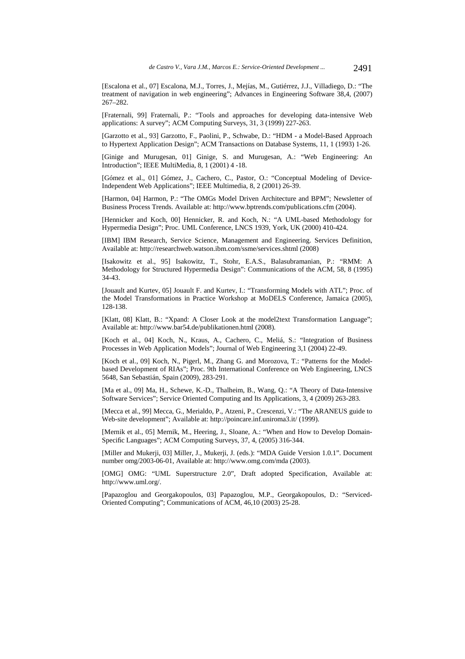[Escalona et al., 07] Escalona, M.J., Torres, J., Mejías, M., Gutiérrez, J.J., Villadiego, D.: "The treatment of navigation in web engineering"; Advances in Engineering Software 38,4, (2007) 267–282.

[Fraternali, 99] Fraternali, P.: "Tools and approaches for developing data-intensive Web applications: A survey"; ACM Computing Surveys, 31, 3 (1999) 227-263.

[Garzotto et al., 93] Garzotto, F., Paolini, P., Schwabe, D.: "HDM - a Model-Based Approach to Hypertext Application Design"; ACM Transactions on Database Systems, 11, 1 (1993) 1-26.

[Ginige and Murugesan, 01] Ginige, S. and Murugesan, A.: "Web Engineering: An Introduction"; IEEE MultiMedia, 8, 1 (2001) 4 -18.

[Gómez et al., 01] Gómez, J., Cachero, C., Pastor, O.: "Conceptual Modeling of Device-Independent Web Applications"; IEEE Multimedia, 8, 2 (2001) 26-39.

[Harmon, 04] Harmon, P.: "The OMGs Model Driven Architecture and BPM"; Newsletter of Business Process Trends. Available at: http://www.bptrends.com/publications.cfm (2004).

[Hennicker and Koch, 00] Hennicker, R. and Koch, N.: "A UML-based Methodology for Hypermedia Design"; Proc. UML Conference, LNCS 1939, York, UK (2000) 410-424.

[IBM] IBM Research, Service Science, Management and Engineering. Services Definition, Available at: http://researchweb.watson.ibm.com/ssme/services.shtml (2008)

[Isakowitz et al., 95] Isakowitz, T., Stohr, E.A.S., Balasubramanian, P.: "RMM: A Methodology for Structured Hypermedia Design": Communications of the ACM, 58, 8 (1995) 34-43.

[Jouault and Kurtev, 05] Jouault F. and Kurtev, I.: "Transforming Models with ATL"; Proc. of the Model Transformations in Practice Workshop at MoDELS Conference, Jamaica (2005), 128-138.

[Klatt, 08] Klatt, B.: "Xpand: A Closer Look at the model2text Transformation Language"; Available at: http://www.bar54.de/publikationen.html (2008).

[Koch et al., 04] Koch, N., Kraus, A., Cachero, C., Meliá, S.: "Integration of Business Processes in Web Application Models"; Journal of Web Engineering 3,1 (2004) 22-49.

[Koch et al., 09] Koch, N., Pigerl, M., Zhang G. and Morozova, T.: "Patterns for the Modelbased Development of RIAs"; Proc. 9th International Conference on Web Engineering, LNCS 5648, San Sebastián, Spain (2009), 283-291.

[Ma et al., 09] Ma, H., Schewe, K.-D., Thalheim, B., Wang, Q.: "A Theory of Data-Intensive Software Services"; Service Oriented Computing and Its Applications, 3, 4 (2009) 263-283.

[Mecca et al., 99] Mecca, G., Merialdo, P., Atzeni, P., Crescenzi, V.: "The ARANEUS guide to Web-site development"; Available at: http://poincare.inf.uniroma3.it/ (1999).

[Mernik et al., 05] Mernik, M., Heering, J., Sloane, A.: "When and How to Develop Domain-Specific Languages"; ACM Computing Surveys, 37, 4, (2005) 316-344.

[Miller and Mukerji, 03] Miller, J., Mukerji, J. (eds.): "MDA Guide Version 1.0.1". Document number omg/2003-06-01, Available at: http://www.omg.com/mda (2003).

[OMG] OMG: "UML Superstructure 2.0", Draft adopted Specification, Available at: http://www.uml.org/.

[Papazoglou and Georgakopoulos, 03] Papazoglou, M.P., Georgakopoulos, D.: "Serviced-Oriented Computing"; Communications of ACM, 46,10 (2003) 25-28.